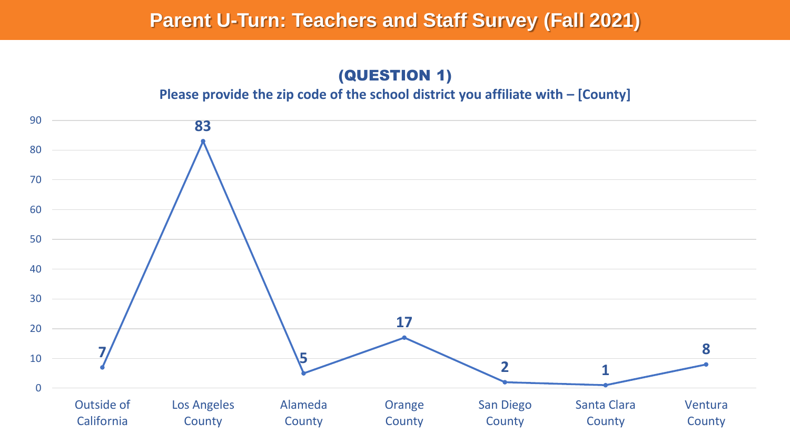(QUESTION 1)

#### **Please provide the zip code of the school district you affiliate with – [County]**

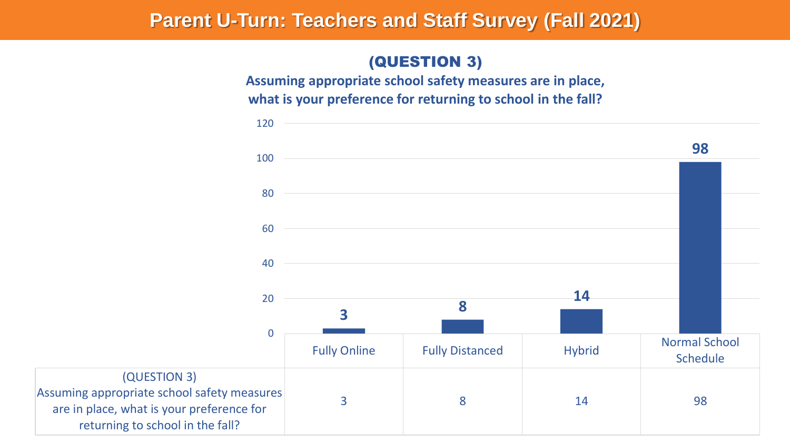## (QUESTION 3)

**Assuming appropriate school safety measures are in place, what is your preference for returning to school in the fall?**

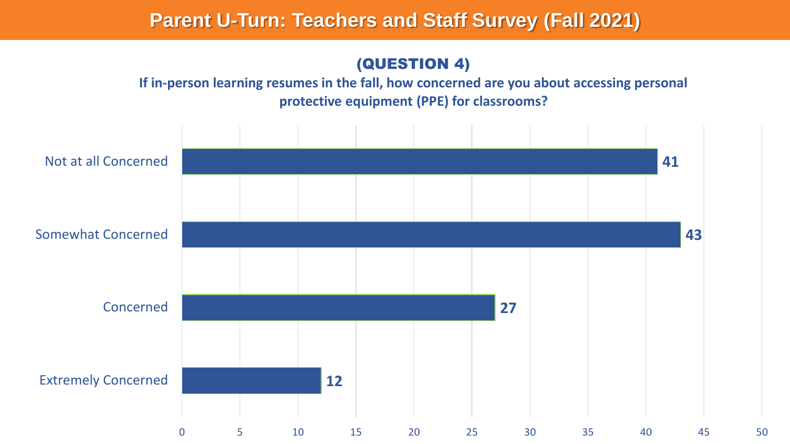### (QUESTION 4)

### **If in-person learning resumes in the fall, how concerned are you about accessing personal protective equipment (PPE) for classrooms?**

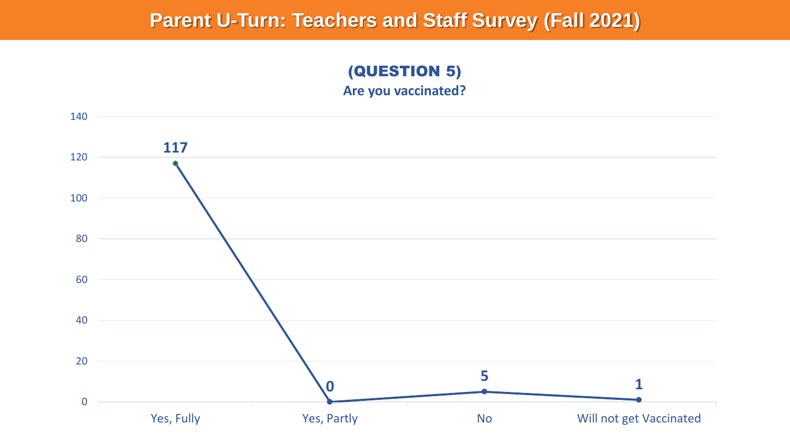### (QUESTION 5) **Are you vaccinated?**

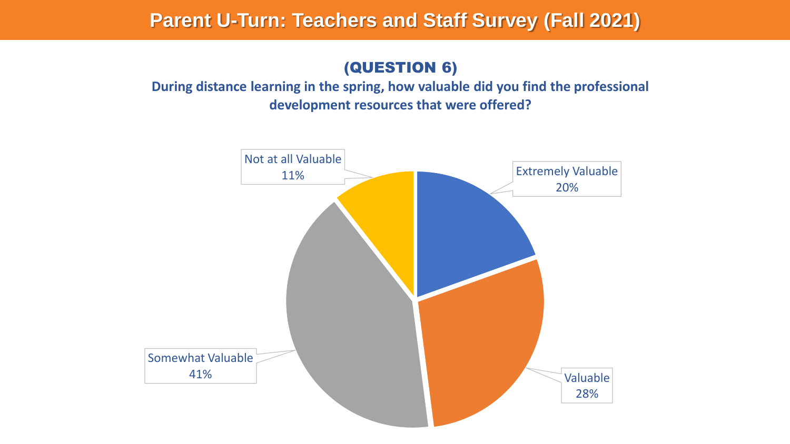## (QUESTION 6)

### **During distance learning in the spring, how valuable did you find the professional development resources that were offered?**

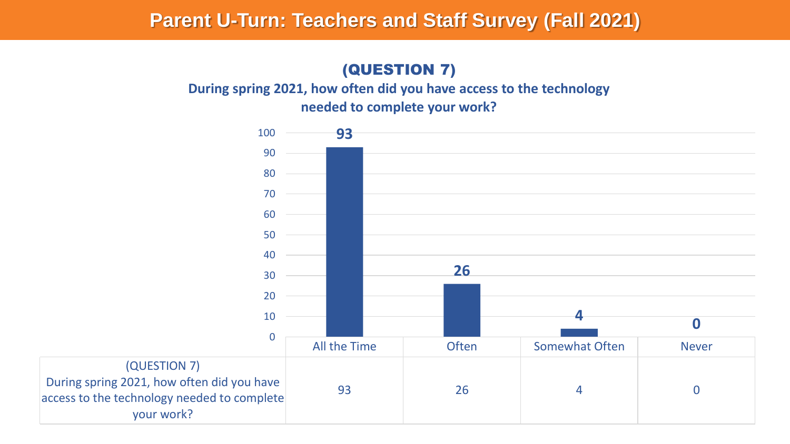## (QUESTION 7)

**During spring 2021, how often did you have access to the technology needed to complete your work?**

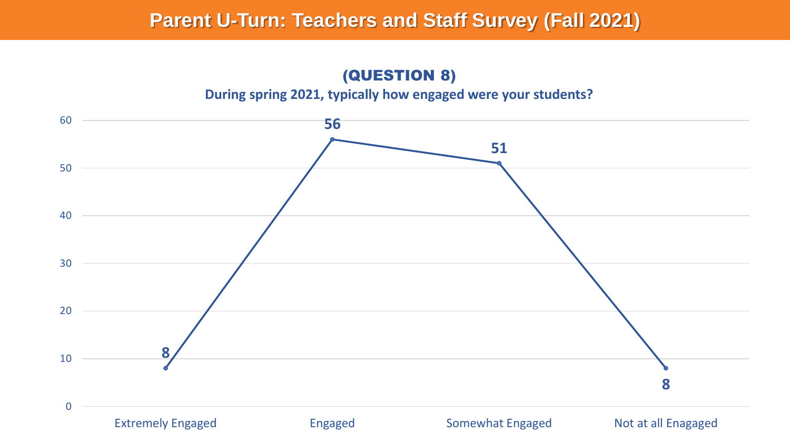(QUESTION 8)

#### **During spring 2021, typically how engaged were your students?**

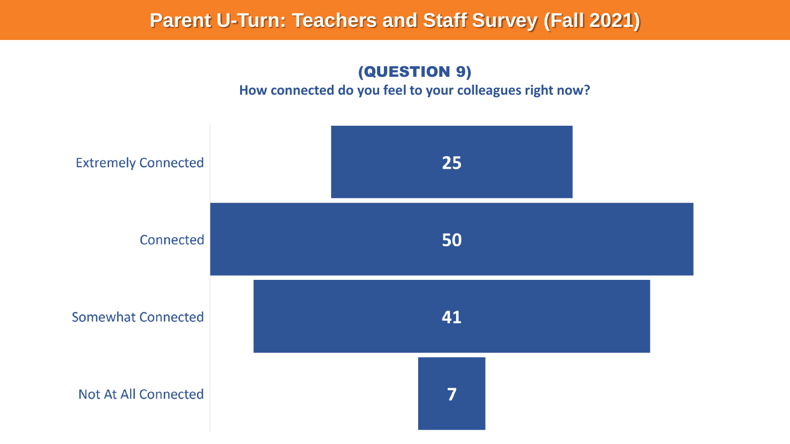## (QUESTION 9)

#### **How connected do you feel to your colleagues right now?**

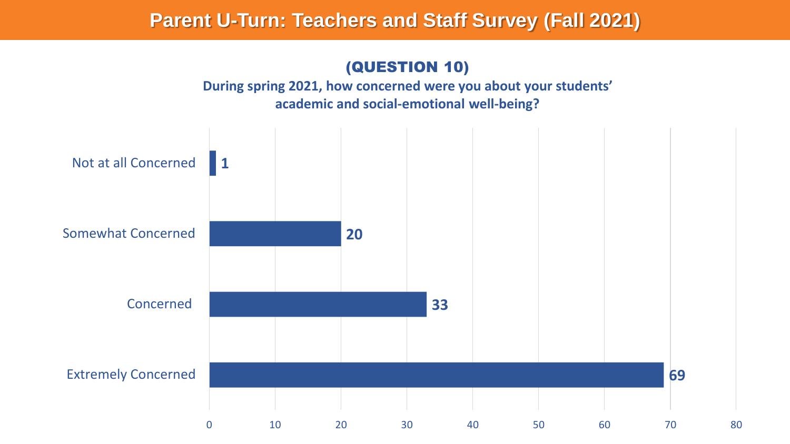## (QUESTION 10)

**During spring 2021, how concerned were you about your students' academic and social-emotional well-being?**

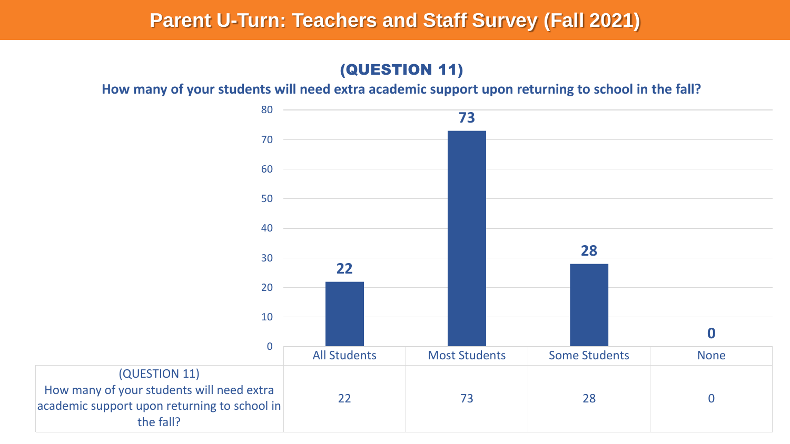## (QUESTION 11)

**How many of your students will need extra academic support upon returning to school in the fall?**

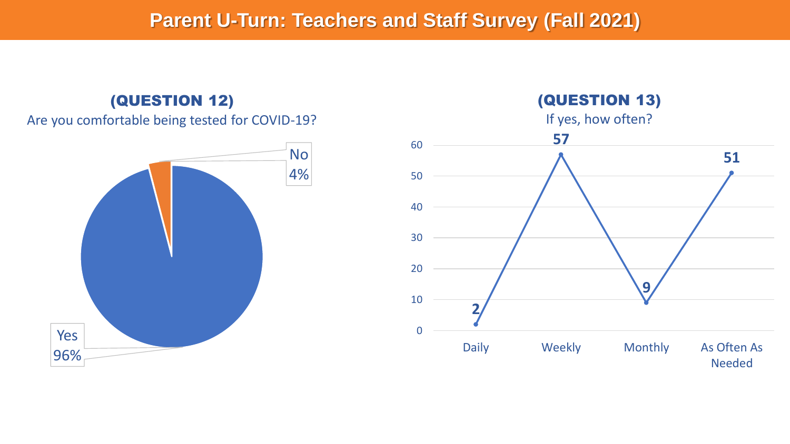## (QUESTION 12)

#### Are you comfortable being tested for COVID-19?



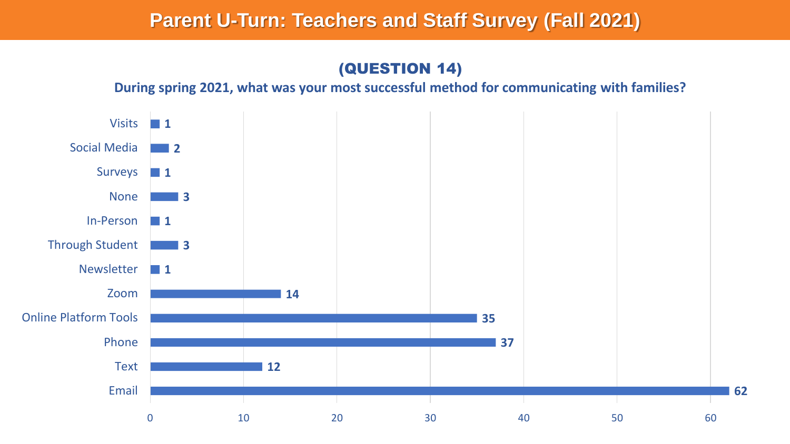## (QUESTION 14)

**During spring 2021, what was your most successful method for communicating with families?**

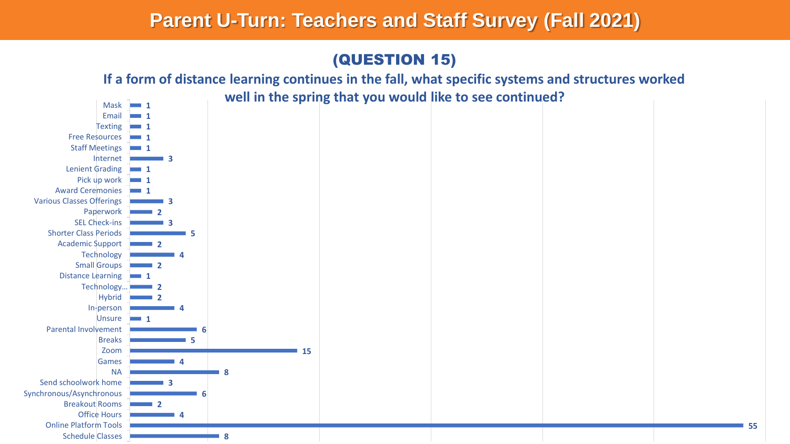## (QUESTION 15)



**55**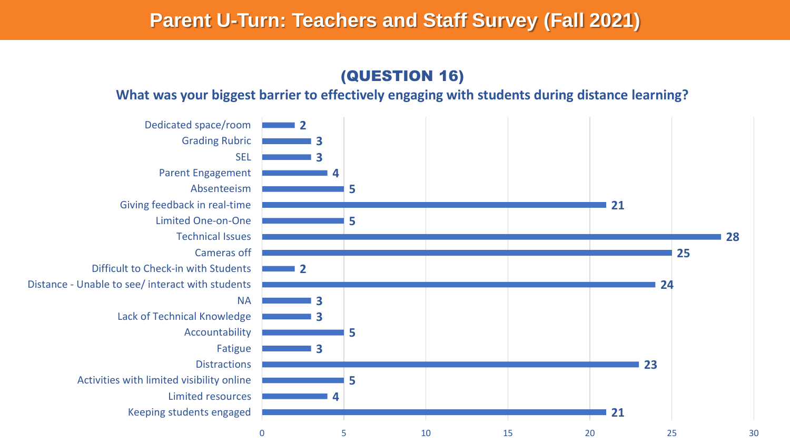## (QUESTION 16)

#### **What was your biggest barrier to effectively engaging with students during distance learning?**

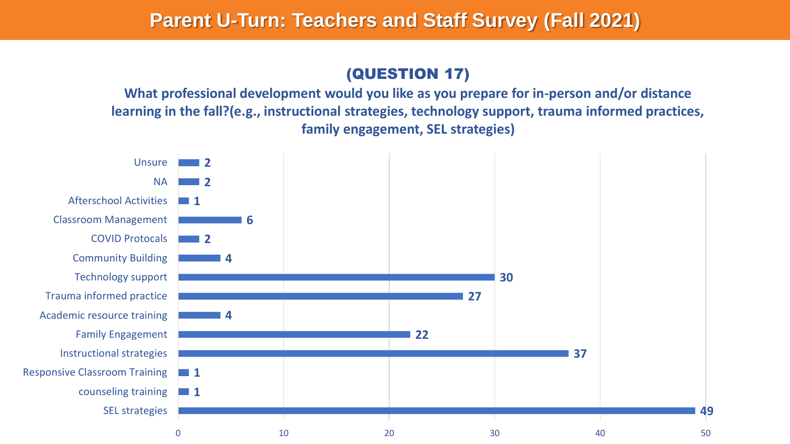## (QUESTION 17)

**What professional development would you like as you prepare for in-person and/or distance learning in the fall?(e.g., instructional strategies, technology support, trauma informed practices, family engagement, SEL strategies)**